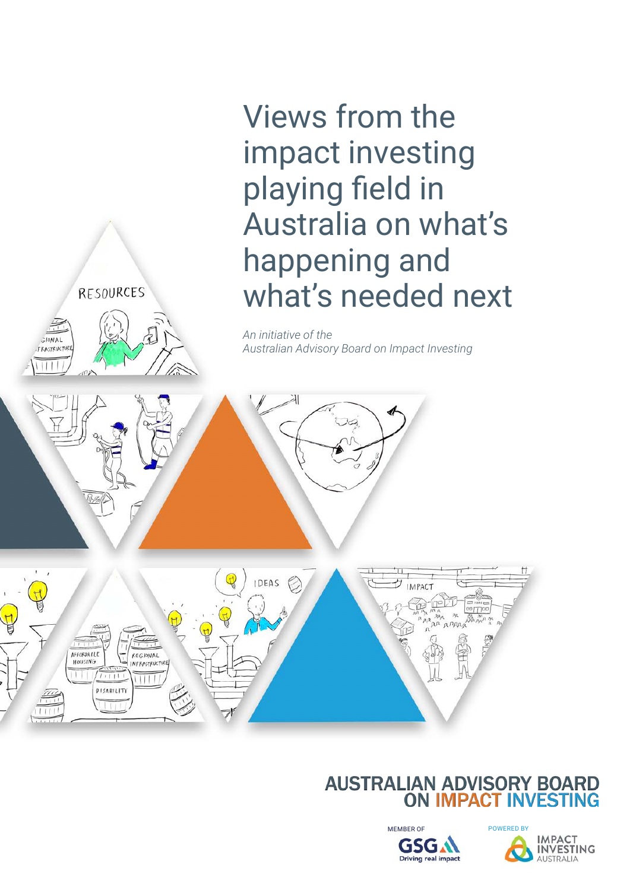Views from the impact investing playing field in Australia on what's happening and what's needed next

*An initiative of the Australian Advisory Board on Impact Investing*

RESOURCES



Russ



#### **AUSTRALIAN ADVISORY BOARD ON IMPACT INVESTING**



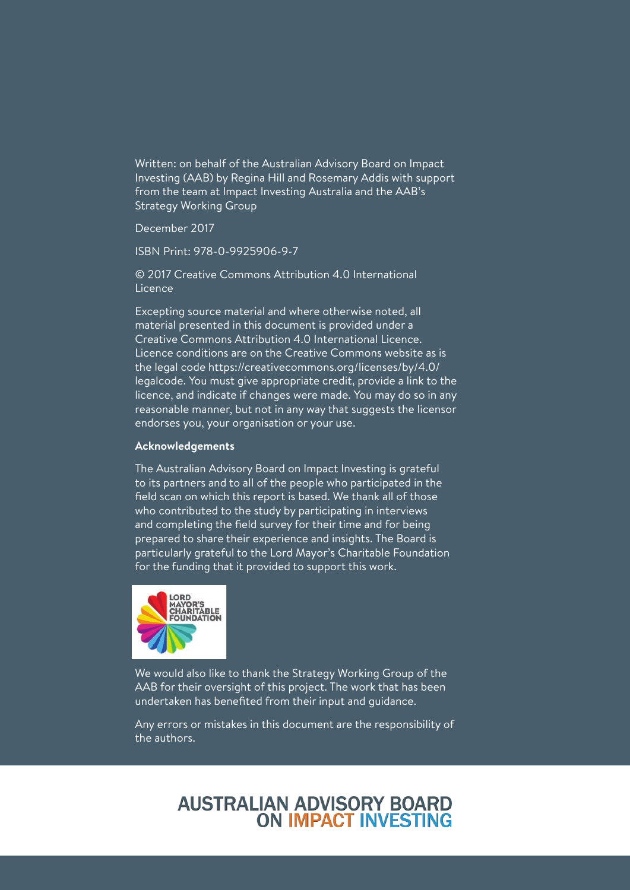Written: on behalf of the Australian Advisory Board on Impact Investing (AAB) by Regina Hill and Rosemary Addis with support from the team at Impact Investing Australia and the AAB's Strategy Working Group

December 2017

ISBN Print: 978-0-9925906-9-7

© 2017 Creative Commons Attribution 4.0 International Licence

Excepting source material and where otherwise noted, all material presented in this document is provided under a Creative Commons Attribution 4.0 International Licence. Licence conditions are on the Creative Commons website as is the legal code https://creativecommons.org/licenses/by/4.0/ legalcode. You must give appropriate credit, provide a link to the licence, and indicate if changes were made. You may do so in any reasonable manner, but not in any way that suggests the licensor endorses you, your organisation or your use.

#### **Acknowledgements**

The Australian Advisory Board on Impact Investing is grateful to its partners and to all of the people who participated in the field scan on which this report is based. We thank all of those who contributed to the study by participating in interviews and completing the field survey for their time and for being prepared to share their experience and insights. The Board is particularly grateful to the Lord Mayor's Charitable Foundation for the funding that it provided to support this work.



We would also like to thank the Strategy Working Group of the AAB for their oversight of this project. The work that has been undertaken has benefited from their input and guidance.

Any errors or mistakes in this document are the responsibility of the authors.

#### **AUSTRALIAN ADVISORY BOARD ON IMPACT INVESTING**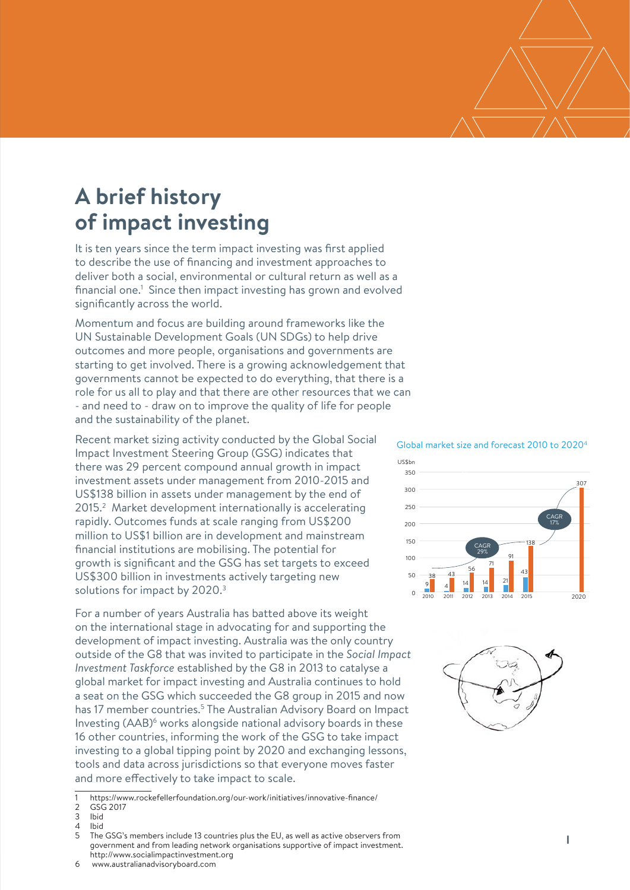# **A brief history of impact investing**

It is ten years since the term impact investing was first applied to describe the use of financing and investment approaches to deliver both a social, environmental or cultural return as well as a financial one.<sup>1</sup> Since then impact investing has grown and evolved significantly across the world.

Momentum and focus are building around frameworks like the UN Sustainable Development Goals (UN SDGs) to help drive outcomes and more people, organisations and governments are starting to get involved. There is a growing acknowledgement that governments cannot be expected to do everything, that there is a role for us all to play and that there are other resources that we can - and need to - draw on to improve the quality of life for people and the sustainability of the planet.

Recent market sizing activity conducted by the Global Social Impact Investment Steering Group (GSG) indicates that there was 29 percent compound annual growth in impact investment assets under management from 2010-2015 and US\$138 billion in assets under management by the end of 2015.<sup>2</sup> Market development internationally is accelerating rapidly. Outcomes funds at scale ranging from US\$200 million to US\$1 billion are in development and mainstream financial institutions are mobilising. The potential for growth is significant and the GSG has set targets to exceed US\$300 billion in investments actively targeting new solutions for impact by 2020.<sup>3</sup>

For a number of years Australia has batted above its weight on the international stage in advocating for and supporting the development of impact investing. Australia was the only country outside of the G8 that was invited to participate in the *Social Impact Investment Taskforce* established by the G8 in 2013 to catalyse a global market for impact investing and Australia continues to hold a seat on the GSG which succeeded the G8 group in 2015 and now has 17 member countries.<sup>5</sup> The Australian Advisory Board on Impact Investing (AAB)6 works alongside national advisory boards in these 16 other countries, informing the work of the GSG to take impact investing to a global tipping point by 2020 and exchanging lessons, tools and data across jurisdictions so that everyone moves faster and more effectively to take impact to scale.

#### Global market size and forecast 2010 to 20204





<sup>1</sup> https://www.rockefellerfoundation.org/our-work/initiatives/innovative-finance/

<sup>2</sup> GSG 2017<br>3 Ibid

**Ibid** 

<sup>4</sup> Ibid

<sup>5</sup> The GSG's members include 13 countries plus the EU, as well as active observers from government and from leading network organisations supportive of impact investment. http://www.socialimpactinvestment.org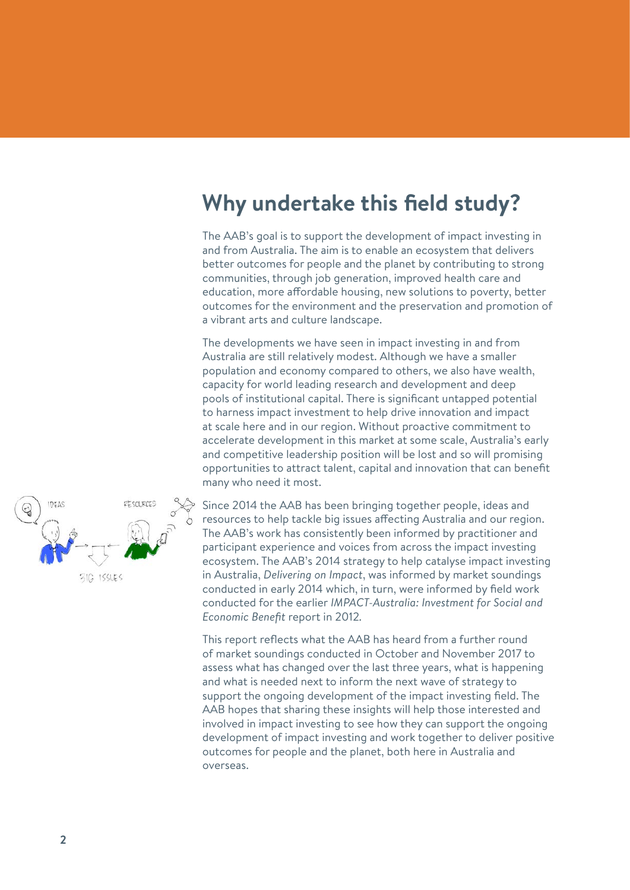#### **Why undertake this field study?**

The AAB's goal is to support the development of impact investing in and from Australia. The aim is to enable an ecosystem that delivers better outcomes for people and the planet by contributing to strong communities, through job generation, improved health care and education, more affordable housing, new solutions to poverty, better outcomes for the environment and the preservation and promotion of a vibrant arts and culture landscape.

The developments we have seen in impact investing in and from Australia are still relatively modest. Although we have a smaller population and economy compared to others, we also have wealth, capacity for world leading research and development and deep pools of institutional capital. There is significant untapped potential to harness impact investment to help drive innovation and impact at scale here and in our region. Without proactive commitment to accelerate development in this market at some scale, Australia's early and competitive leadership position will be lost and so will promising opportunities to attract talent, capital and innovation that can benefit many who need it most.



Since 2014 the AAB has been bringing together people, ideas and resources to help tackle big issues affecting Australia and our region. The AAB's work has consistently been informed by practitioner and participant experience and voices from across the impact investing ecosystem. The AAB's 2014 strategy to help catalyse impact investing in Australia, *Delivering on Impact*, was informed by market soundings conducted in early 2014 which, in turn, were informed by field work conducted for the earlier *IMPACT-Australia: Investment for Social and Economic Benefit* report in 2012*.*

This report reflects what the AAB has heard from a further round of market soundings conducted in October and November 2017 to assess what has changed over the last three years, what is happening and what is needed next to inform the next wave of strategy to support the ongoing development of the impact investing field. The AAB hopes that sharing these insights will help those interested and involved in impact investing to see how they can support the ongoing development of impact investing and work together to deliver positive outcomes for people and the planet, both here in Australia and overseas.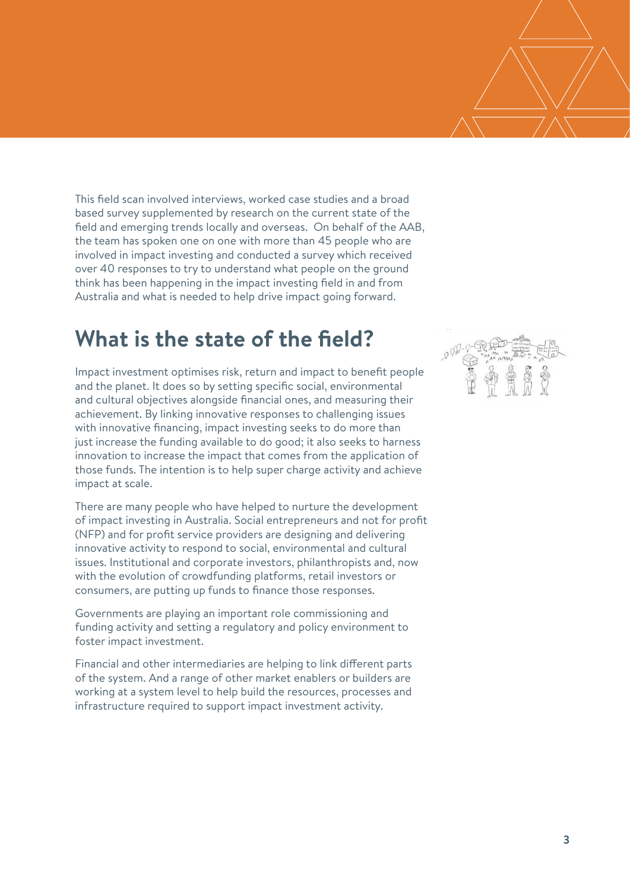This field scan involved interviews, worked case studies and a broad based survey supplemented by research on the current state of the field and emerging trends locally and overseas. On behalf of the AAB, the team has spoken one on one with more than 45 people who are involved in impact investing and conducted a survey which received over 40 responses to try to understand what people on the ground think has been happening in the impact investing field in and from Australia and what is needed to help drive impact going forward.

#### **What is the state of the field?**

Impact investment optimises risk, return and impact to benefit people and the planet. It does so by setting specific social, environmental and cultural objectives alongside financial ones, and measuring their achievement. By linking innovative responses to challenging issues with innovative financing, impact investing seeks to do more than just increase the funding available to do good; it also seeks to harness innovation to increase the impact that comes from the application of those funds. The intention is to help super charge activity and achieve impact at scale.

There are many people who have helped to nurture the development of impact investing in Australia. Social entrepreneurs and not for profit (NFP) and for profit service providers are designing and delivering innovative activity to respond to social, environmental and cultural issues. Institutional and corporate investors, philanthropists and, now with the evolution of crowdfunding platforms, retail investors or consumers, are putting up funds to finance those responses.

Governments are playing an important role commissioning and funding activity and setting a regulatory and policy environment to foster impact investment.

Financial and other intermediaries are helping to link different parts of the system. And a range of other market enablers or builders are working at a system level to help build the resources, processes and infrastructure required to support impact investment activity.

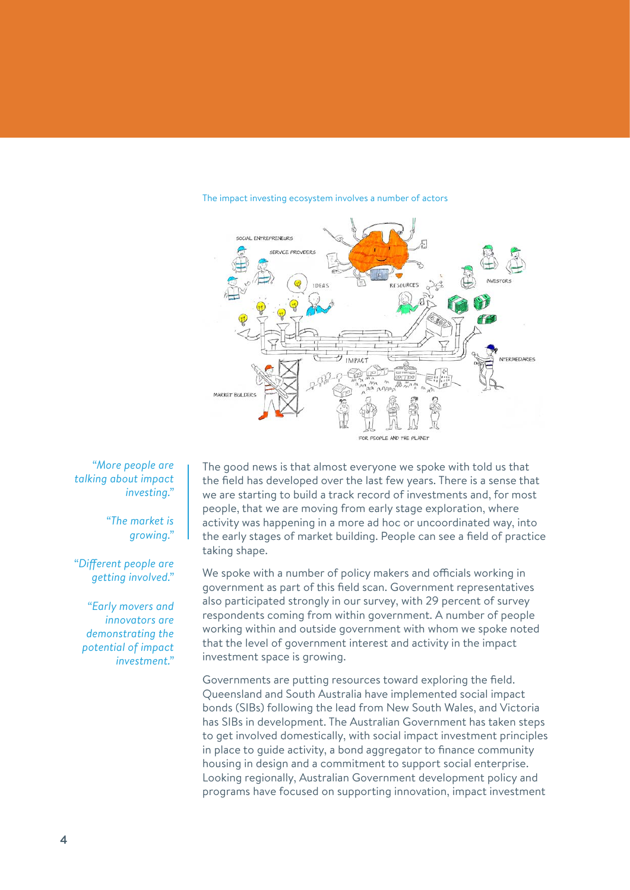

#### The impact investing ecosystem involves a number of actors

*"More people are talking about impact investing."* 

> *"The market is growing."*

*"Different people are getting involved."* 

*"Early movers and innovators are demonstrating the potential of impact investment."*

The good news is that almost everyone we spoke with told us that the field has developed over the last few years. There is a sense that we are starting to build a track record of investments and, for most people, that we are moving from early stage exploration, where activity was happening in a more ad hoc or uncoordinated way, into the early stages of market building. People can see a field of practice taking shape.

We spoke with a number of policy makers and officials working in government as part of this field scan. Government representatives also participated strongly in our survey, with 29 percent of survey respondents coming from within government. A number of people working within and outside government with whom we spoke noted that the level of government interest and activity in the impact investment space is growing.

Governments are putting resources toward exploring the field. Queensland and South Australia have implemented social impact bonds (SIBs) following the lead from New South Wales, and Victoria has SIBs in development. The Australian Government has taken steps to get involved domestically, with social impact investment principles in place to guide activity, a bond aggregator to finance community housing in design and a commitment to support social enterprise. Looking regionally, Australian Government development policy and programs have focused on supporting innovation, impact investment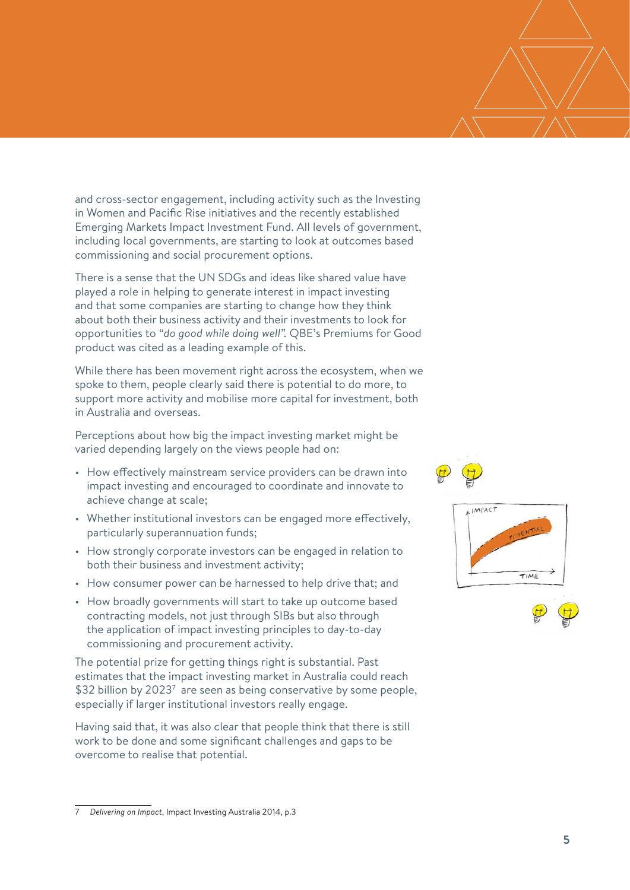and cross-sector engagement, including activity such as the Investing in Women and Pacific Rise initiatives and the recently established Emerging Markets Impact Investment Fund. All levels of government, including local governments, are starting to look at outcomes based commissioning and social procurement options.

There is a sense that the UN SDGs and ideas like shared value have played a role in helping to generate interest in impact investing and that some companies are starting to change how they think about both their business activity and their investments to look for opportunities to *"do good while doing well".* QBE's Premiums for Good product was cited as a leading example of this.

While there has been movement right across the ecosystem, when we spoke to them, people clearly said there is potential to do more, to support more activity and mobilise more capital for investment, both in Australia and overseas.

Perceptions about how big the impact investing market might be varied depending largely on the views people had on:

- How effectively mainstream service providers can be drawn into impact investing and encouraged to coordinate and innovate to achieve change at scale;
- Whether institutional investors can be engaged more effectively, particularly superannuation funds;
- How strongly corporate investors can be engaged in relation to both their business and investment activity;
- How consumer power can be harnessed to help drive that; and
- How broadly governments will start to take up outcome based contracting models, not just through SIBs but also through the application of impact investing principles to day-to-day commissioning and procurement activity.

The potential prize for getting things right is substantial. Past estimates that the impact investing market in Australia could reach \$32 billion by 2023<sup>7</sup> are seen as being conservative by some people, especially if larger institutional investors really engage.

Having said that, it was also clear that people think that there is still work to be done and some significant challenges and gaps to be overcome to realise that potential.





<sup>7</sup> *Delivering on Impact*, Impact Investing Australia 2014, p.3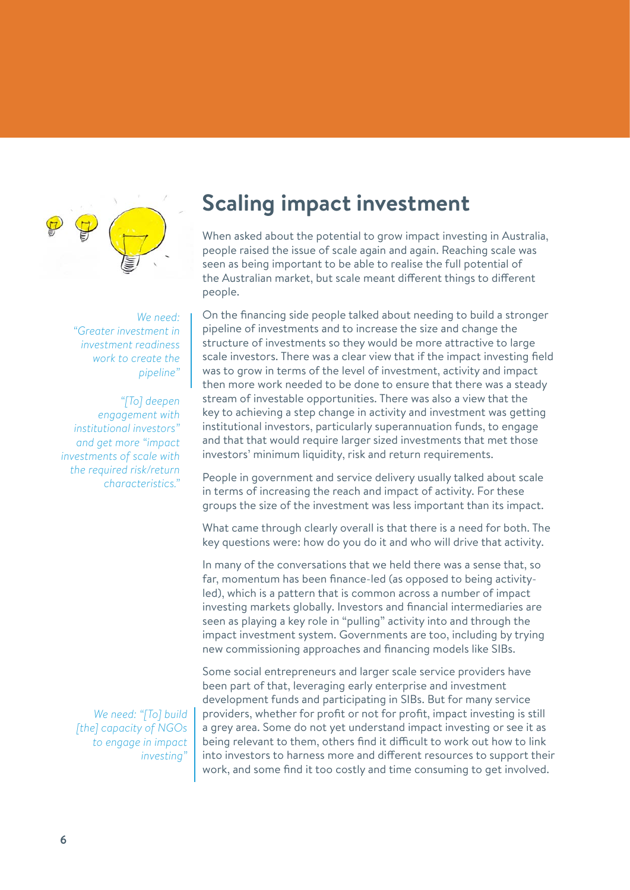

*We need: "Greater investment in investment readiness work to create the pipeline"* 

*"[To] deepen engagement with institutional investors" and get more "impact investments of scale with the required risk/return characteristics."*

> *We need: "[To] build [the] capacity of NGOs to engage in impact investing"*

## **Scaling impact investment**

When asked about the potential to grow impact investing in Australia, people raised the issue of scale again and again. Reaching scale was seen as being important to be able to realise the full potential of the Australian market, but scale meant different things to different people.

On the financing side people talked about needing to build a stronger pipeline of investments and to increase the size and change the structure of investments so they would be more attractive to large scale investors. There was a clear view that if the impact investing field was to grow in terms of the level of investment, activity and impact then more work needed to be done to ensure that there was a steady stream of investable opportunities. There was also a view that the key to achieving a step change in activity and investment was getting institutional investors, particularly superannuation funds, to engage and that that would require larger sized investments that met those investors' minimum liquidity, risk and return requirements.

People in government and service delivery usually talked about scale in terms of increasing the reach and impact of activity. For these groups the size of the investment was less important than its impact.

What came through clearly overall is that there is a need for both. The key questions were: how do you do it and who will drive that activity.

In many of the conversations that we held there was a sense that, so far, momentum has been finance-led (as opposed to being activityled), which is a pattern that is common across a number of impact investing markets globally. Investors and financial intermediaries are seen as playing a key role in "pulling" activity into and through the impact investment system. Governments are too, including by trying new commissioning approaches and financing models like SIBs.

Some social entrepreneurs and larger scale service providers have been part of that, leveraging early enterprise and investment development funds and participating in SIBs. But for many service providers, whether for profit or not for profit, impact investing is still a grey area. Some do not yet understand impact investing or see it as being relevant to them, others find it difficult to work out how to link into investors to harness more and different resources to support their work, and some find it too costly and time consuming to get involved.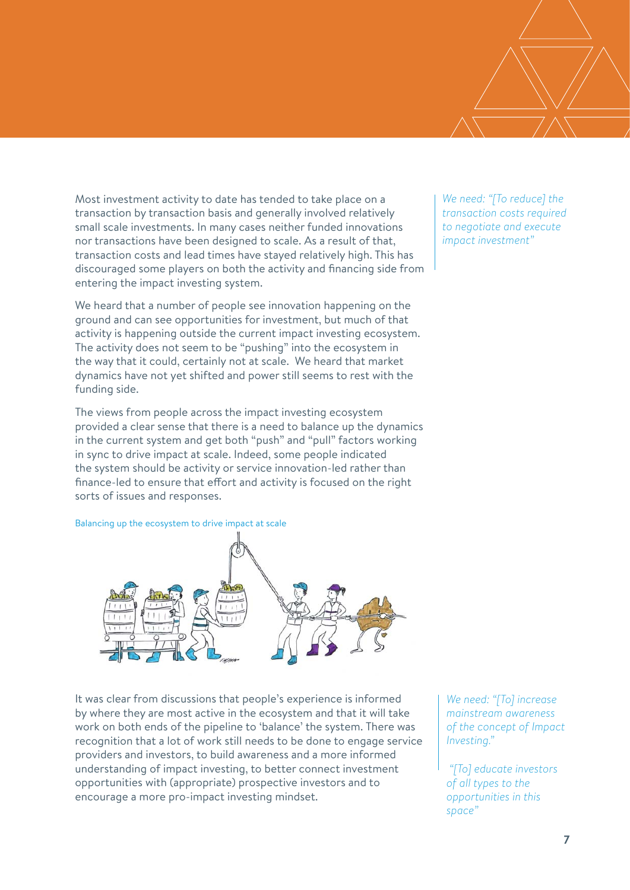Most investment activity to date has tended to take place on a transaction by transaction basis and generally involved relatively small scale investments. In many cases neither funded innovations nor transactions have been designed to scale. As a result of that, transaction costs and lead times have stayed relatively high. This has discouraged some players on both the activity and financing side from entering the impact investing system.

We heard that a number of people see innovation happening on the ground and can see opportunities for investment, but much of that activity is happening outside the current impact investing ecosystem. The activity does not seem to be "pushing" into the ecosystem in the way that it could, certainly not at scale. We heard that market dynamics have not yet shifted and power still seems to rest with the funding side.

The views from people across the impact investing ecosystem provided a clear sense that there is a need to balance up the dynamics in the current system and get both "push" and "pull" factors working in sync to drive impact at scale. Indeed, some people indicated the system should be activity or service innovation-led rather than finance-led to ensure that effort and activity is focused on the right sorts of issues and responses.

Balancing up the ecosystem to drive impact at scale



It was clear from discussions that people's experience is informed by where they are most active in the ecosystem and that it will take work on both ends of the pipeline to 'balance' the system. There was recognition that a lot of work still needs to be done to engage service providers and investors, to build awareness and a more informed understanding of impact investing, to better connect investment opportunities with (appropriate) prospective investors and to encourage a more pro-impact investing mindset.

*We need: "[To] increase mainstream awareness of the concept of Impact Investing."*

 *"[To] educate investors of all types to the opportunities in this space"* 

*We need: "[To reduce] the transaction costs required to negotiate and execute impact investment"*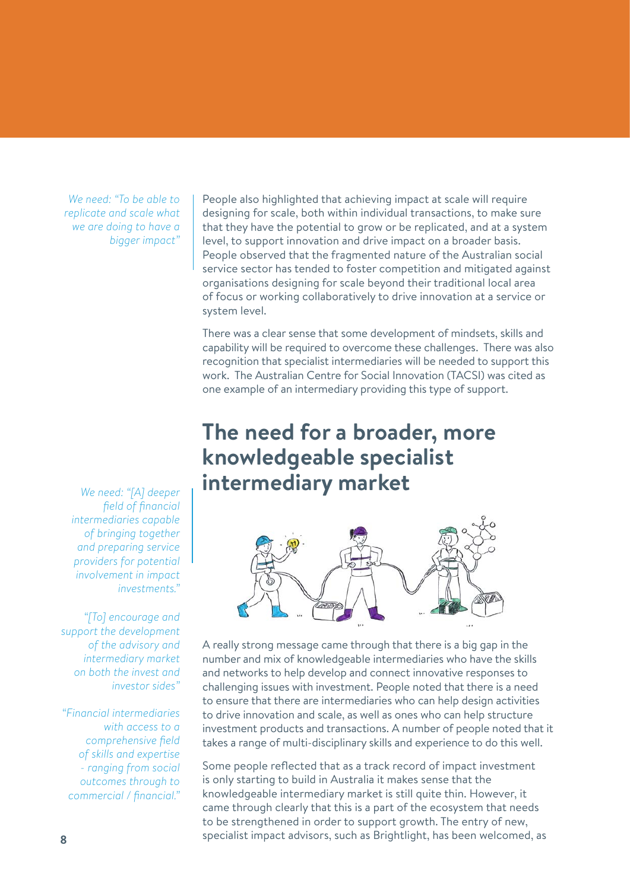*We need: "To be able to replicate and scale what we are doing to have a bigger impact"*

People also highlighted that achieving impact at scale will require designing for scale, both within individual transactions, to make sure that they have the potential to grow or be replicated, and at a system level, to support innovation and drive impact on a broader basis. People observed that the fragmented nature of the Australian social service sector has tended to foster competition and mitigated against organisations designing for scale beyond their traditional local area of focus or working collaboratively to drive innovation at a service or system level.

There was a clear sense that some development of mindsets, skills and capability will be required to overcome these challenges. There was also recognition that specialist intermediaries will be needed to support this work. The Australian Centre for Social Innovation (TACSI) was cited as one example of an intermediary providing this type of support.

### **The need for a broader, more knowledgeable specialist intermediary market**



A really strong message came through that there is a big gap in the number and mix of knowledgeable intermediaries who have the skills and networks to help develop and connect innovative responses to challenging issues with investment. People noted that there is a need to ensure that there are intermediaries who can help design activities to drive innovation and scale, as well as ones who can help structure investment products and transactions. A number of people noted that it takes a range of multi-disciplinary skills and experience to do this well.

Some people reflected that as a track record of impact investment is only starting to build in Australia it makes sense that the knowledgeable intermediary market is still quite thin. However, it came through clearly that this is a part of the ecosystem that needs to be strengthened in order to support growth. The entry of new, specialist impact advisors, such as Brightlight, has been welcomed, as

*We need: "[A] deeper field of financial intermediaries capable of bringing together and preparing service providers for potential involvement in impact investments."* 

*"[To] encourage and support the development of the advisory and intermediary market on both the invest and investor sides"*

*"Financial intermediaries with access to a comprehensive field of skills and expertise - ranging from social outcomes through to commercial / financial."*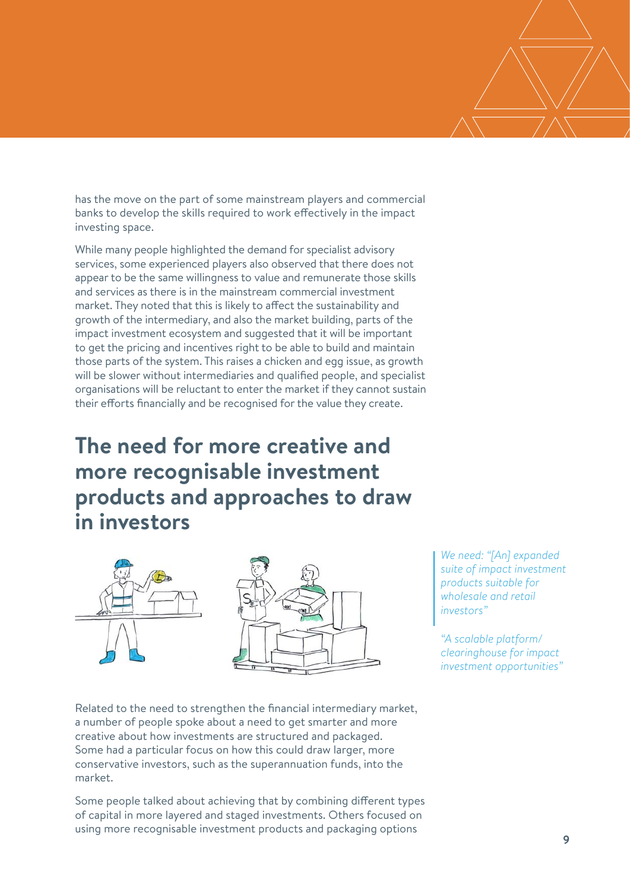has the move on the part of some mainstream players and commercial banks to develop the skills required to work effectively in the impact investing space.

While many people highlighted the demand for specialist advisory services, some experienced players also observed that there does not appear to be the same willingness to value and remunerate those skills and services as there is in the mainstream commercial investment market. They noted that this is likely to affect the sustainability and growth of the intermediary, and also the market building, parts of the impact investment ecosystem and suggested that it will be important to get the pricing and incentives right to be able to build and maintain those parts of the system. This raises a chicken and egg issue, as growth will be slower without intermediaries and qualified people, and specialist organisations will be reluctant to enter the market if they cannot sustain their efforts financially and be recognised for the value they create.

### **The need for more creative and more recognisable investment products and approaches to draw in investors**



*We need: "[An] expanded suite of impact investment products suitable for wholesale and retail investors"* 

*"A scalable platform/ clearinghouse for impact investment opportunities"*

Related to the need to strengthen the financial intermediary market, a number of people spoke about a need to get smarter and more creative about how investments are structured and packaged. Some had a particular focus on how this could draw larger, more conservative investors, such as the superannuation funds, into the market.

Some people talked about achieving that by combining different types of capital in more layered and staged investments. Others focused on using more recognisable investment products and packaging options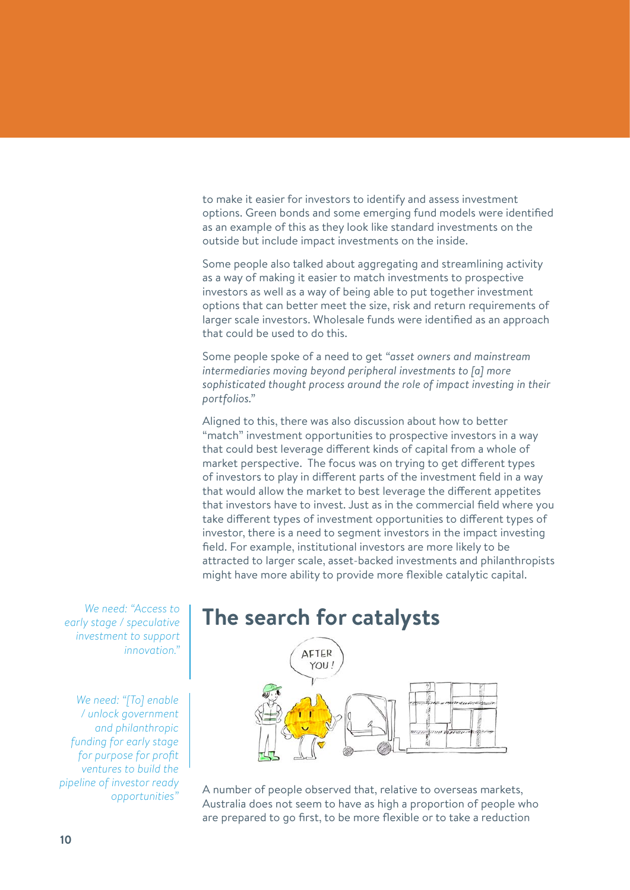to make it easier for investors to identify and assess investment options. Green bonds and some emerging fund models were identified as an example of this as they look like standard investments on the outside but include impact investments on the inside.

Some people also talked about aggregating and streamlining activity as a way of making it easier to match investments to prospective investors as well as a way of being able to put together investment options that can better meet the size, risk and return requirements of larger scale investors. Wholesale funds were identified as an approach that could be used to do this.

Some people spoke of a need to get *"asset owners and mainstream intermediaries moving beyond peripheral investments to [a] more sophisticated thought process around the role of impact investing in their portfolios."*

Aligned to this, there was also discussion about how to better "match" investment opportunities to prospective investors in a way that could best leverage different kinds of capital from a whole of market perspective. The focus was on trying to get different types of investors to play in different parts of the investment field in a way that would allow the market to best leverage the different appetites that investors have to invest. Just as in the commercial field where you take different types of investment opportunities to different types of investor, there is a need to segment investors in the impact investing field. For example, institutional investors are more likely to be attracted to larger scale, asset-backed investments and philanthropists might have more ability to provide more flexible catalytic capital.

*We need: "Access to early stage / speculative investment to support innovation."* 

*We need: "[To] enable / unlock government and philanthropic funding for early stage for purpose for profit ventures to build the pipeline of investor ready opportunities"*

#### **The search for catalysts**



A number of people observed that, relative to overseas markets, Australia does not seem to have as high a proportion of people who are prepared to go first, to be more flexible or to take a reduction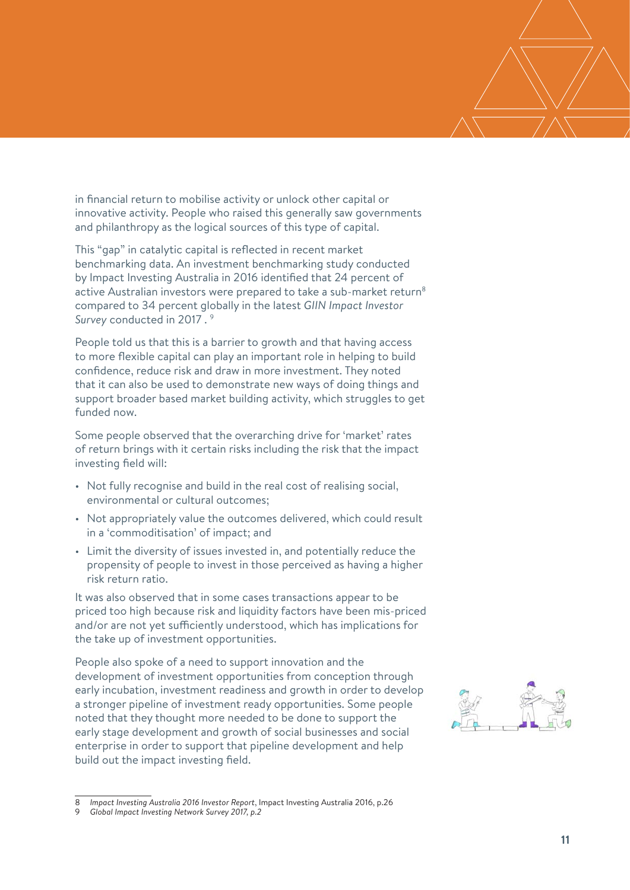in financial return to mobilise activity or unlock other capital or innovative activity. People who raised this generally saw governments and philanthropy as the logical sources of this type of capital.

This "gap" in catalytic capital is reflected in recent market benchmarking data. An investment benchmarking study conducted by Impact Investing Australia in 2016 identified that 24 percent of active Australian investors were prepared to take a sub-market return<sup>8</sup> compared to 34 percent globally in the latest *GIIN Impact Investor Survey* conducted in 2017 . 9

People told us that this is a barrier to growth and that having access to more flexible capital can play an important role in helping to build confidence, reduce risk and draw in more investment. They noted that it can also be used to demonstrate new ways of doing things and support broader based market building activity, which struggles to get funded now.

Some people observed that the overarching drive for 'market' rates of return brings with it certain risks including the risk that the impact investing field will:

- Not fully recognise and build in the real cost of realising social, environmental or cultural outcomes;
- Not appropriately value the outcomes delivered, which could result in a 'commoditisation' of impact; and
- Limit the diversity of issues invested in, and potentially reduce the propensity of people to invest in those perceived as having a higher risk return ratio.

It was also observed that in some cases transactions appear to be priced too high because risk and liquidity factors have been mis-priced and/or are not yet sufficiently understood, which has implications for the take up of investment opportunities.

People also spoke of a need to support innovation and the development of investment opportunities from conception through early incubation, investment readiness and growth in order to develop a stronger pipeline of investment ready opportunities. Some people noted that they thought more needed to be done to support the early stage development and growth of social businesses and social enterprise in order to support that pipeline development and help build out the impact investing field.

<sup>8</sup> *Impact Investing Australia 2016 Investor Report*, Impact Investing Australia 2016, p.26

<sup>9</sup> *Global Impact Investing Network Survey 2017, p.2*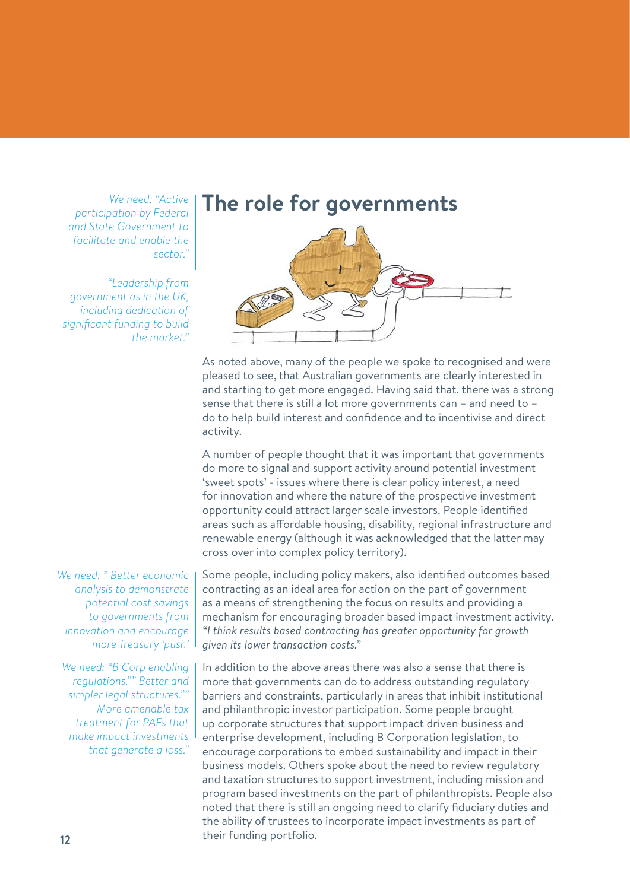*We need: "Active participation by Federal and State Government to facilitate and enable the sector."*

*"Leadership from government as in the UK, including dedication of significant funding to build the market."*

*We need: " Better economic analysis to demonstrate potential cost savings to governments from innovation and encourage more Treasury 'push'*

*We need: "B Corp enabling regulations."" Better and simpler legal structures."" More amenable tax treatment for PAFs that make impact investments that generate a loss."*

**The role for governments**



As noted above, many of the people we spoke to recognised and were pleased to see, that Australian governments are clearly interested in and starting to get more engaged. Having said that, there was a strong sense that there is still a lot more governments can – and need to – do to help build interest and confidence and to incentivise and direct activity.

A number of people thought that it was important that governments do more to signal and support activity around potential investment 'sweet spots' - issues where there is clear policy interest, a need for innovation and where the nature of the prospective investment opportunity could attract larger scale investors. People identified areas such as affordable housing, disability, regional infrastructure and renewable energy (although it was acknowledged that the latter may cross over into complex policy territory).

Some people, including policy makers, also identified outcomes based contracting as an ideal area for action on the part of government as a means of strengthening the focus on results and providing a mechanism for encouraging broader based impact investment activity. *"I think results based contracting has greater opportunity for growth given its lower transaction costs."*

In addition to the above areas there was also a sense that there is more that governments can do to address outstanding regulatory barriers and constraints, particularly in areas that inhibit institutional and philanthropic investor participation. Some people brought up corporate structures that support impact driven business and enterprise development, including B Corporation legislation, to encourage corporations to embed sustainability and impact in their business models. Others spoke about the need to review regulatory and taxation structures to support investment, including mission and program based investments on the part of philanthropists. People also noted that there is still an ongoing need to clarify fiduciary duties and the ability of trustees to incorporate impact investments as part of their funding portfolio.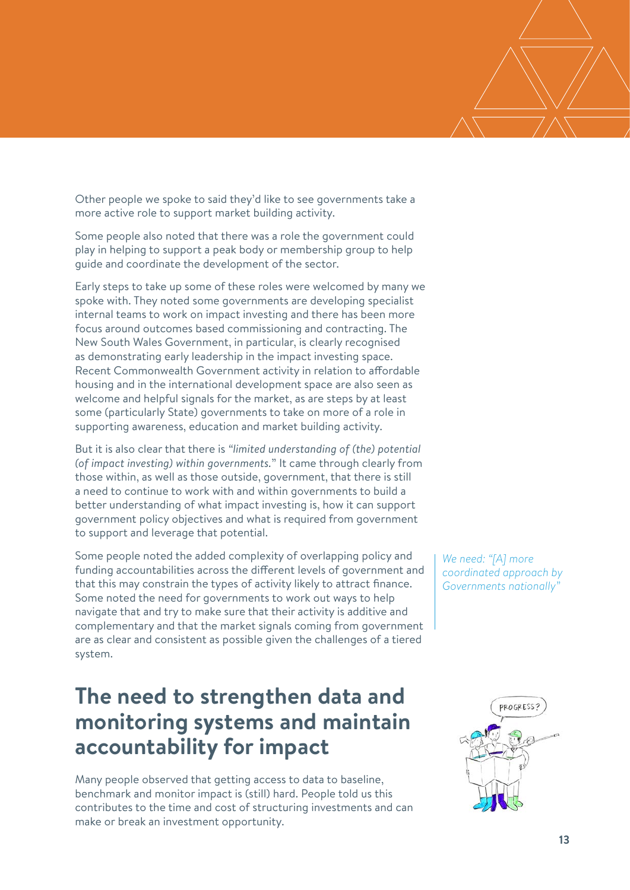Other people we spoke to said they'd like to see governments take a more active role to support market building activity.

Some people also noted that there was a role the government could play in helping to support a peak body or membership group to help guide and coordinate the development of the sector.

Early steps to take up some of these roles were welcomed by many we spoke with. They noted some governments are developing specialist internal teams to work on impact investing and there has been more focus around outcomes based commissioning and contracting. The New South Wales Government, in particular, is clearly recognised as demonstrating early leadership in the impact investing space. Recent Commonwealth Government activity in relation to affordable housing and in the international development space are also seen as welcome and helpful signals for the market, as are steps by at least some (particularly State) governments to take on more of a role in supporting awareness, education and market building activity.

But it is also clear that there is *"limited understanding of (the) potential (of impact investing) within governments.*" It came through clearly from those within, as well as those outside, government, that there is still a need to continue to work with and within governments to build a better understanding of what impact investing is, how it can support government policy objectives and what is required from government to support and leverage that potential.

Some people noted the added complexity of overlapping policy and funding accountabilities across the different levels of government and that this may constrain the types of activity likely to attract finance. Some noted the need for governments to work out ways to help navigate that and try to make sure that their activity is additive and complementary and that the market signals coming from government are as clear and consistent as possible given the challenges of a tiered system.

#### **The need to strengthen data and monitoring systems and maintain accountability for impact**

Many people observed that getting access to data to baseline, benchmark and monitor impact is (still) hard. People told us this contributes to the time and cost of structuring investments and can make or break an investment opportunity.

*We need: "[A] more coordinated approach by Governments nationally"*

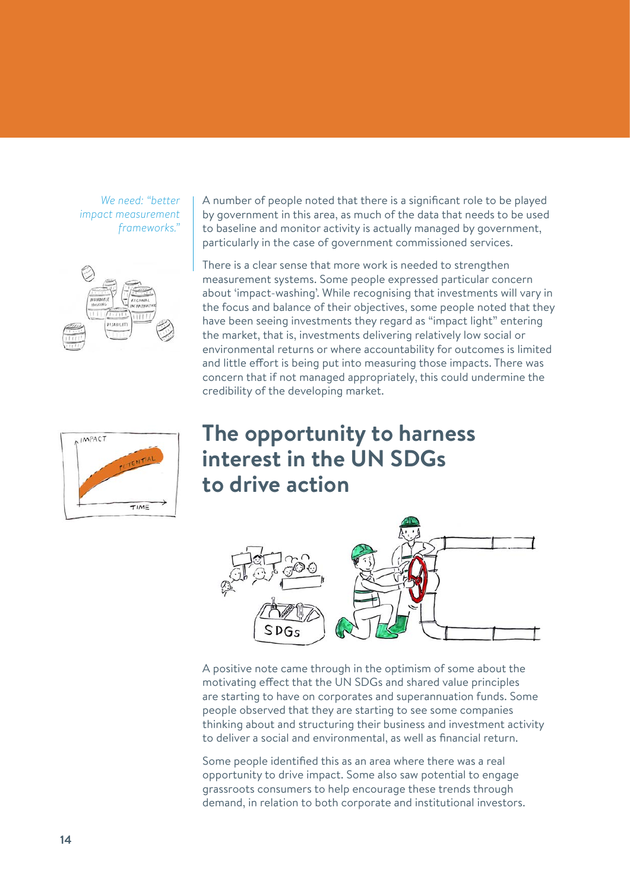*We need: "better impact measurement frameworks."*



A number of people noted that there is a significant role to be played by government in this area, as much of the data that needs to be used to baseline and monitor activity is actually managed by government, particularly in the case of government commissioned services.

There is a clear sense that more work is needed to strengthen measurement systems. Some people expressed particular concern about 'impact-washing'. While recognising that investments will vary in the focus and balance of their objectives, some people noted that they have been seeing investments they regard as "impact light" entering the market, that is, investments delivering relatively low social or environmental returns or where accountability for outcomes is limited and little effort is being put into measuring those impacts. There was concern that if not managed appropriately, this could undermine the credibility of the developing market.



#### **The opportunity to harness interest in the UN SDGs to drive action**



A positive note came through in the optimism of some about the motivating effect that the UN SDGs and shared value principles are starting to have on corporates and superannuation funds. Some people observed that they are starting to see some companies thinking about and structuring their business and investment activity to deliver a social and environmental, as well as financial return.

Some people identified this as an area where there was a real opportunity to drive impact. Some also saw potential to engage grassroots consumers to help encourage these trends through demand, in relation to both corporate and institutional investors.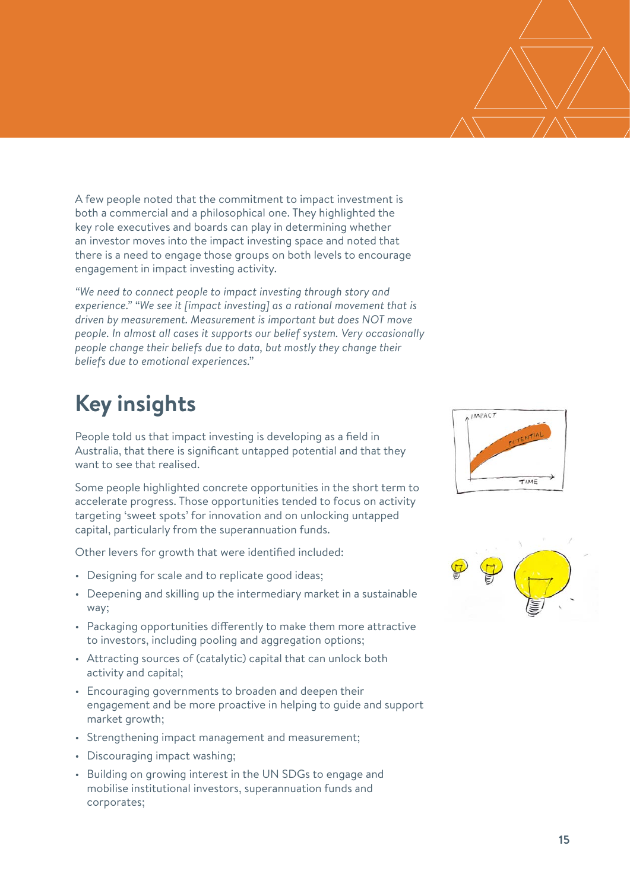A few people noted that the commitment to impact investment is both a commercial and a philosophical one. They highlighted the key role executives and boards can play in determining whether an investor moves into the impact investing space and noted that there is a need to engage those groups on both levels to encourage engagement in impact investing activity.

*"We need to connect people to impact investing through story and experience." "We see it [impact investing] as a rational movement that is driven by measurement. Measurement is important but does NOT move people. In almost all cases it supports our belief system. Very occasionally people change their beliefs due to data, but mostly they change their beliefs due to emotional experiences."*

# **Key insights**

People told us that impact investing is developing as a field in Australia, that there is significant untapped potential and that they want to see that realised.

Some people highlighted concrete opportunities in the short term to accelerate progress. Those opportunities tended to focus on activity targeting 'sweet spots' for innovation and on unlocking untapped capital, particularly from the superannuation funds.

Other levers for growth that were identified included:

- Designing for scale and to replicate good ideas;
- Deepening and skilling up the intermediary market in a sustainable way;
- Packaging opportunities differently to make them more attractive to investors, including pooling and aggregation options;
- Attracting sources of (catalytic) capital that can unlock both activity and capital;
- Encouraging governments to broaden and deepen their engagement and be more proactive in helping to guide and support market growth;
- Strengthening impact management and measurement;
- Discouraging impact washing;
- Building on growing interest in the UN SDGs to engage and mobilise institutional investors, superannuation funds and corporates;



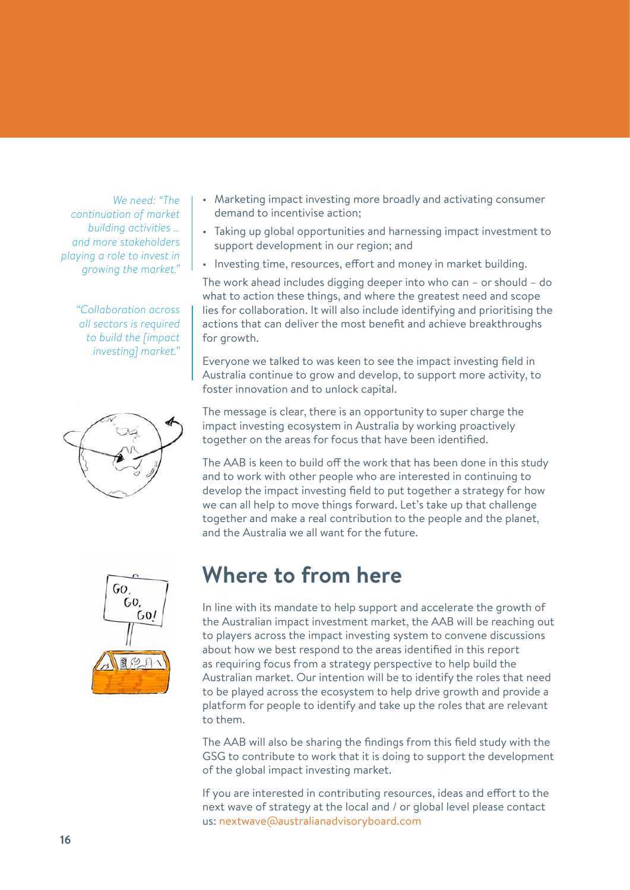*We need: "The continuation of market building activities … and more stakeholders playing a role to invest in growing the market."*

> *"Collaboration across all sectors is required to build the [impact investing] market."*



- Marketing impact investing more broadly and activating consumer demand to incentivise action;
- Taking up global opportunities and harnessing impact investment to support development in our region; and
- Investing time, resources, effort and money in market building.

The work ahead includes digging deeper into who can – or should – do what to action these things, and where the greatest need and scope lies for collaboration. It will also include identifying and prioritising the actions that can deliver the most benefit and achieve breakthroughs for growth.

Everyone we talked to was keen to see the impact investing field in Australia continue to grow and develop, to support more activity, to foster innovation and to unlock capital.

The message is clear, there is an opportunity to super charge the impact investing ecosystem in Australia by working proactively together on the areas for focus that have been identified.

The AAB is keen to build off the work that has been done in this study and to work with other people who are interested in continuing to develop the impact investing field to put together a strategy for how we can all help to move things forward. Let's take up that challenge together and make a real contribution to the people and the planet, and the Australia we all want for the future.



## **Where to from here**

In line with its mandate to help support and accelerate the growth of the Australian impact investment market, the AAB will be reaching out to players across the impact investing system to convene discussions about how we best respond to the areas identified in this report as requiring focus from a strategy perspective to help build the Australian market. Our intention will be to identify the roles that need to be played across the ecosystem to help drive growth and provide a platform for people to identify and take up the roles that are relevant to them.

The AAB will also be sharing the findings from this field study with the GSG to contribute to work that it is doing to support the development of the global impact investing market.

If you are interested in contributing resources, ideas and effort to the next wave of strategy at the local and / or global level please contact us: nextwave@australianadvisoryboard.com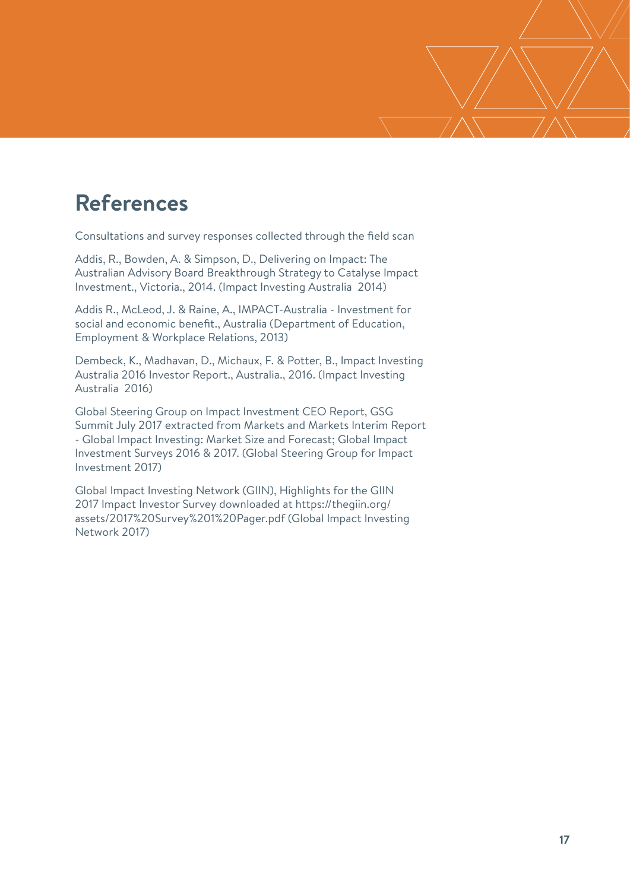## **References**

Consultations and survey responses collected through the field scan

Addis, R., Bowden, A. & Simpson, D., Delivering on Impact: The Australian Advisory Board Breakthrough Strategy to Catalyse Impact Investment., Victoria., 2014. (Impact Investing Australia 2014)

Addis R., McLeod, J. & Raine, A., IMPACT-Australia - Investment for social and economic benefit., Australia (Department of Education, Employment & Workplace Relations, 2013)

Dembeck, K., Madhavan, D., Michaux, F. & Potter, B., Impact Investing Australia 2016 Investor Report., Australia., 2016. (Impact Investing Australia 2016)

Global Steering Group on Impact Investment CEO Report, GSG Summit July 2017 extracted from Markets and Markets Interim Report - Global Impact Investing: Market Size and Forecast; Global Impact Investment Surveys 2016 & 2017. (Global Steering Group for Impact Investment 2017)

Global Impact Investing Network (GIIN), Highlights for the GIIN 2017 Impact Investor Survey downloaded at https://thegiin.org/ assets/2017%20Survey%201%20Pager.pdf (Global Impact Investing Network 2017)